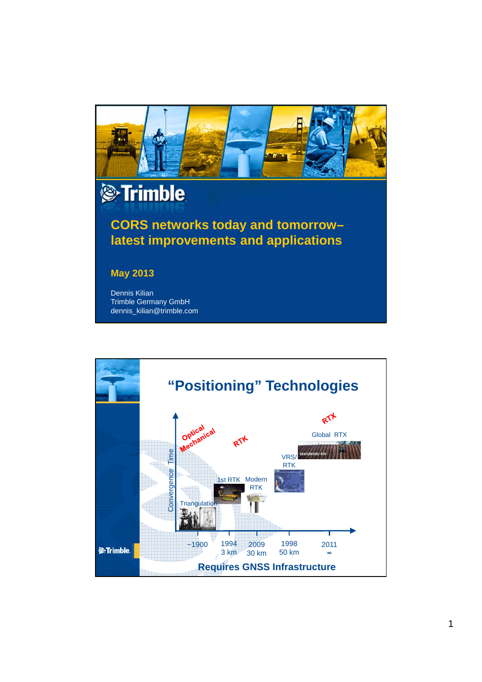

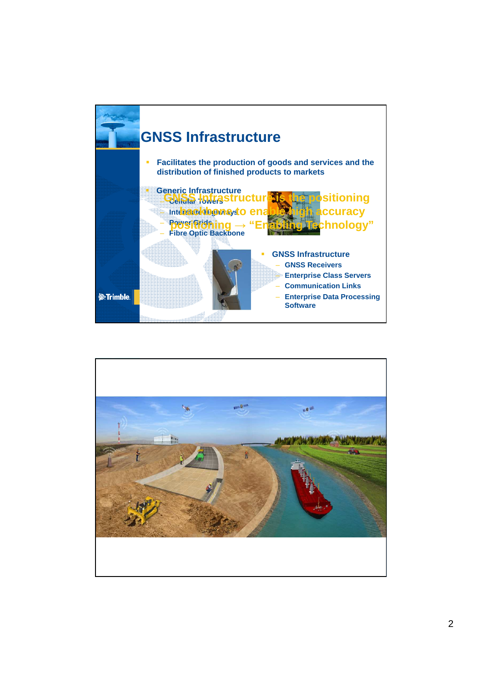

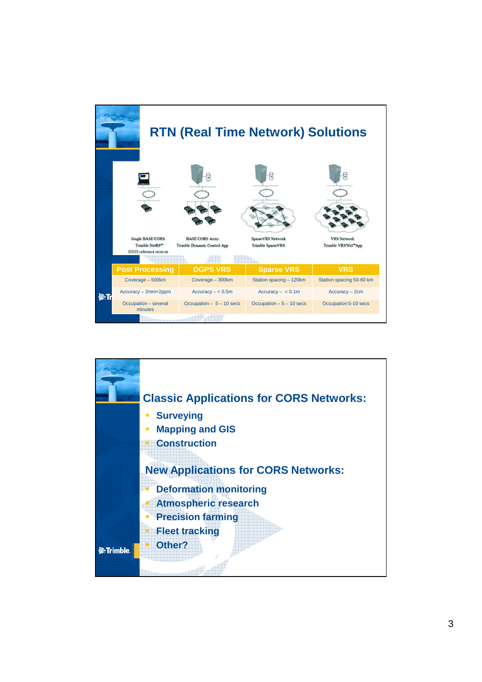| <b>RTN (Real Time Network) Solutions</b> |                                                                                  |                                                       |                                               |                                           |
|------------------------------------------|----------------------------------------------------------------------------------|-------------------------------------------------------|-----------------------------------------------|-------------------------------------------|
|                                          |                                                                                  |                                                       |                                               |                                           |
|                                          | <b>Single BASE CORS</b><br>Trimble NetR9 <sup>®</sup><br>GNSS reference receiver | <b>BASE CORS Array</b><br>Trimble Dynamic Control App | SparseVRS Network<br><b>Trimble SparseVRS</b> | <b>VRS Network</b><br>Trimble VRS'Net"App |
|                                          | <b>Post Processing</b>                                                           | <b>DGPS VRS</b>                                       | <b>Sparse VRS</b>                             | <b>VRS</b>                                |
|                                          | Coverage - 500km                                                                 | Coverage - 300km                                      | Station spacing - 120km                       | Station spacing 50-60 km                  |
| <b>O</b> TI                              | Accuracy - 2mm+2ppm                                                              | $Accuracy - < 0.5m$                                   | $Accuracy - < 0.1m$                           | $Accuracy - 2cm$                          |
|                                          | Occupation - several<br>minutes                                                  | Occupation $-5 - 10$ secs                             | Occupation $-5 - 10$ secs                     | Occupation 5-10 secs                      |
|                                          |                                                                                  |                                                       |                                               |                                           |

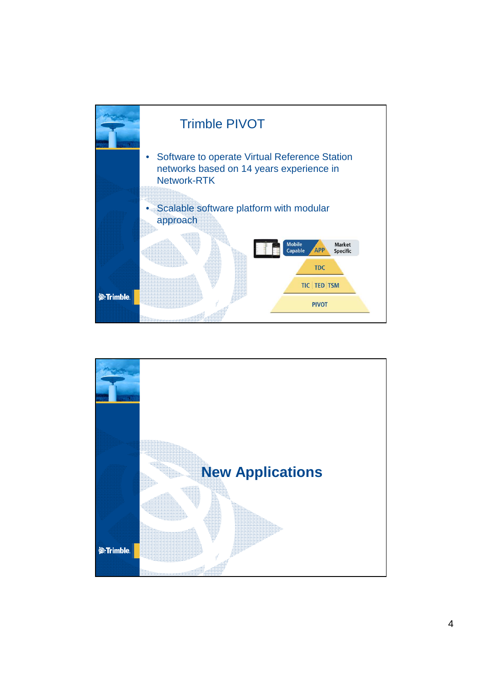

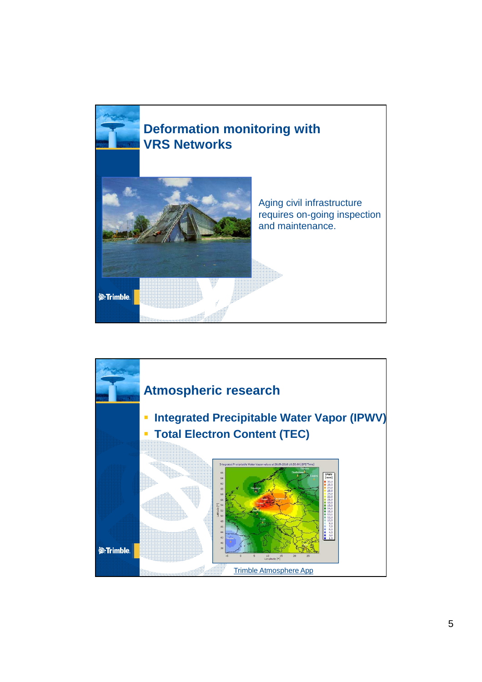

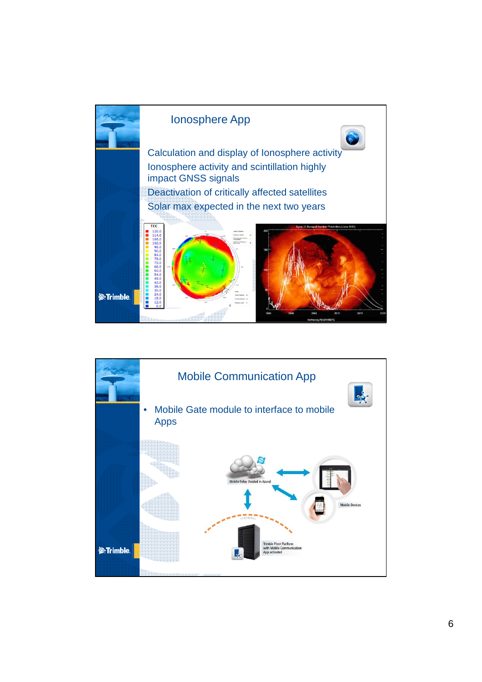

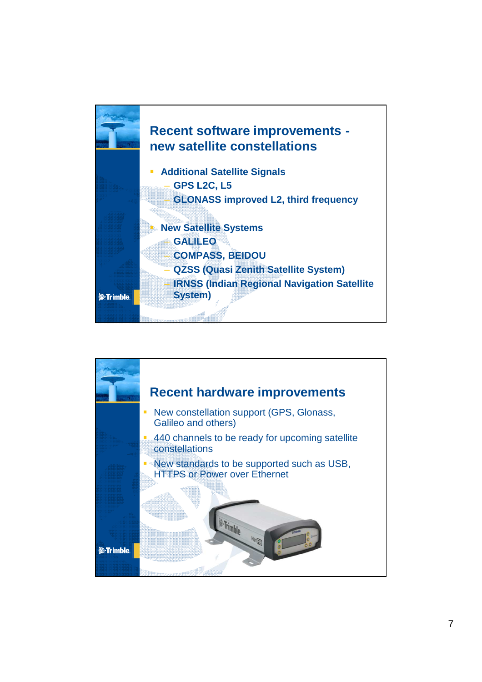